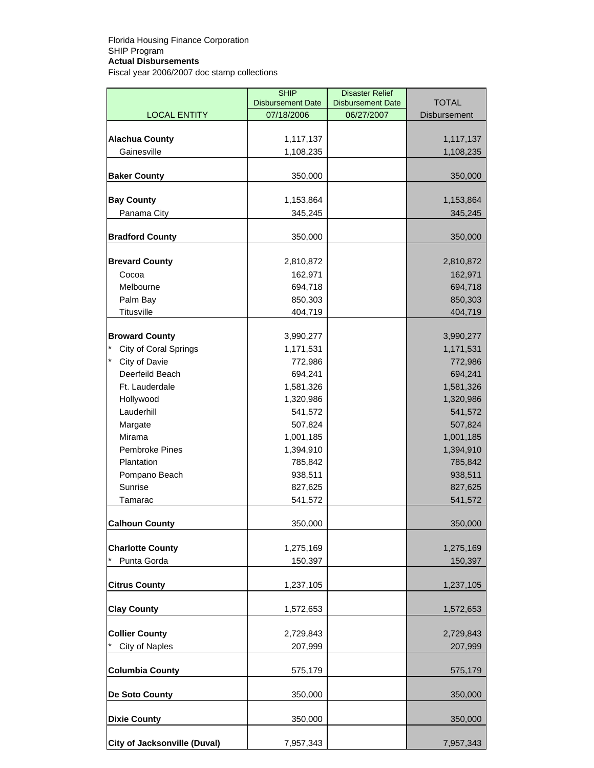|                                     | <b>SHIP</b>              | <b>Disaster Relief</b>   |                     |
|-------------------------------------|--------------------------|--------------------------|---------------------|
|                                     | <b>Disbursement Date</b> | <b>Disbursement Date</b> | <b>TOTAL</b>        |
| <b>LOCAL ENTITY</b>                 | 07/18/2006               | 06/27/2007               | <b>Disbursement</b> |
| <b>Alachua County</b>               | 1,117,137                |                          | 1,117,137           |
| Gainesville                         | 1,108,235                |                          | 1,108,235           |
|                                     |                          |                          |                     |
| <b>Baker County</b>                 | 350,000                  |                          | 350,000             |
|                                     |                          |                          |                     |
| <b>Bay County</b>                   | 1,153,864                |                          | 1,153,864           |
| Panama City                         | 345,245                  |                          | 345,245             |
| <b>Bradford County</b>              | 350,000                  |                          | 350,000             |
|                                     |                          |                          |                     |
| <b>Brevard County</b>               | 2,810,872                |                          | 2,810,872           |
| Cocoa                               | 162,971                  |                          | 162,971             |
| Melbourne                           | 694,718                  |                          | 694,718             |
| Palm Bay                            | 850,303                  |                          | 850,303             |
| <b>Titusville</b>                   | 404,719                  |                          | 404,719             |
|                                     |                          |                          |                     |
| <b>Broward County</b>               | 3,990,277                |                          | 3,990,277           |
| City of Coral Springs               | 1,171,531                |                          | 1,171,531           |
| City of Davie                       | 772,986                  |                          | 772,986             |
| Deerfeild Beach                     | 694,241                  |                          | 694,241             |
| Ft. Lauderdale                      | 1,581,326                |                          | 1,581,326           |
| Hollywood                           | 1,320,986                |                          | 1,320,986           |
| Lauderhill                          | 541,572                  |                          | 541,572             |
| Margate                             | 507,824                  |                          | 507,824             |
| Mirama                              | 1,001,185                |                          | 1,001,185           |
| Pembroke Pines                      | 1,394,910                |                          | 1,394,910           |
| Plantation                          | 785,842                  |                          | 785,842             |
| Pompano Beach                       | 938,511                  |                          | 938,511             |
| Sunrise                             | 827,625                  |                          | 827,625             |
| Tamarac                             | 541,572                  |                          | 541,572             |
| Calhoun County                      | 350,000                  |                          | 350,000             |
|                                     |                          |                          |                     |
| <b>Charlotte County</b>             | 1,275,169                |                          | 1,275,169           |
| Punta Gorda                         | 150,397                  |                          | 150,397             |
|                                     |                          |                          |                     |
| <b>Citrus County</b>                | 1,237,105                |                          | 1,237,105           |
| <b>Clay County</b>                  | 1,572,653                |                          | 1,572,653           |
|                                     |                          |                          |                     |
| <b>Collier County</b>               | 2,729,843                |                          | 2,729,843           |
| City of Naples                      | 207,999                  |                          | 207,999             |
| <b>Columbia County</b>              | 575,179                  |                          | 575,179             |
| De Soto County                      | 350,000                  |                          | 350,000             |
| <b>Dixie County</b>                 | 350,000                  |                          | 350,000             |
| <b>City of Jacksonville (Duval)</b> | 7,957,343                |                          | 7,957,343           |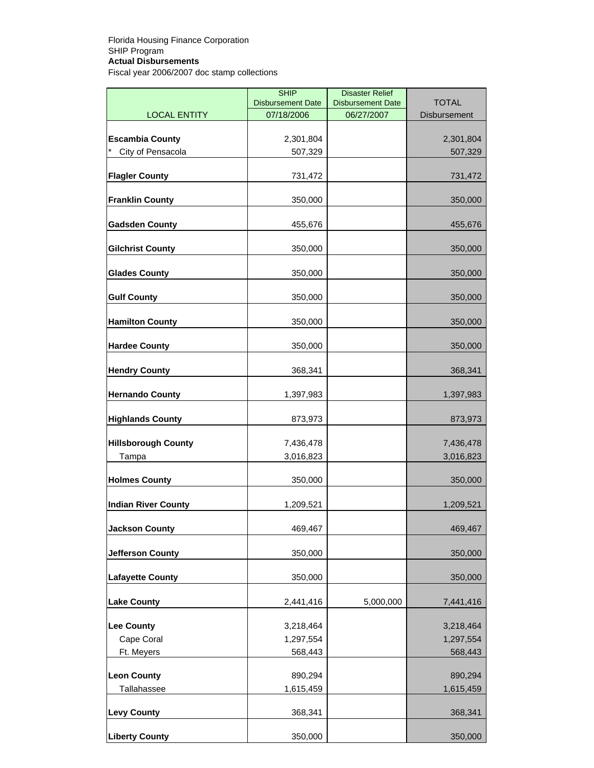|                            | <b>SHIP</b><br><b>Disbursement Date</b> | <b>Disaster Relief</b><br><b>Disbursement Date</b> | <b>TOTAL</b> |
|----------------------------|-----------------------------------------|----------------------------------------------------|--------------|
| <b>LOCAL ENTITY</b>        | 07/18/2006                              | 06/27/2007                                         | Disbursement |
|                            |                                         |                                                    |              |
| <b>Escambia County</b>     | 2,301,804                               |                                                    | 2,301,804    |
| City of Pensacola          | 507,329                                 |                                                    | 507,329      |
| <b>Flagler County</b>      | 731,472                                 |                                                    | 731,472      |
| <b>Franklin County</b>     | 350,000                                 |                                                    | 350,000      |
| <b>Gadsden County</b>      | 455,676                                 |                                                    | 455,676      |
| <b>Gilchrist County</b>    | 350,000                                 |                                                    | 350,000      |
| <b>Glades County</b>       | 350,000                                 |                                                    | 350,000      |
| <b>Gulf County</b>         | 350,000                                 |                                                    | 350,000      |
| <b>Hamilton County</b>     | 350,000                                 |                                                    | 350,000      |
| <b>Hardee County</b>       | 350,000                                 |                                                    | 350,000      |
| <b>Hendry County</b>       | 368,341                                 |                                                    | 368,341      |
| <b>Hernando County</b>     | 1,397,983                               |                                                    | 1,397,983    |
| <b>Highlands County</b>    | 873,973                                 |                                                    | 873,973      |
| <b>Hillsborough County</b> | 7,436,478                               |                                                    | 7,436,478    |
| Tampa                      | 3,016,823                               |                                                    | 3,016,823    |
| <b>Holmes County</b>       | 350,000                                 |                                                    | 350,000      |
| <b>Indian River County</b> | 1,209,521                               |                                                    | 1,209,521    |
| <b>Jackson County</b>      | 469,467                                 |                                                    | 469,467      |
| <b>Jefferson County</b>    | 350,000                                 |                                                    | 350,000      |
| <b>Lafayette County</b>    | 350,000                                 |                                                    | 350,000      |
| <b>Lake County</b>         | 2,441,416                               | 5,000,000                                          | 7,441,416    |
| <b>Lee County</b>          | 3,218,464                               |                                                    | 3,218,464    |
| Cape Coral                 | 1,297,554                               |                                                    | 1,297,554    |
| Ft. Meyers                 | 568,443                                 |                                                    | 568,443      |
| <b>Leon County</b>         | 890,294                                 |                                                    | 890,294      |
| Tallahassee                | 1,615,459                               |                                                    | 1,615,459    |
|                            |                                         |                                                    |              |
| <b>Levy County</b>         | 368,341                                 |                                                    | 368,341      |
| <b>Liberty County</b>      | 350,000                                 |                                                    | 350,000      |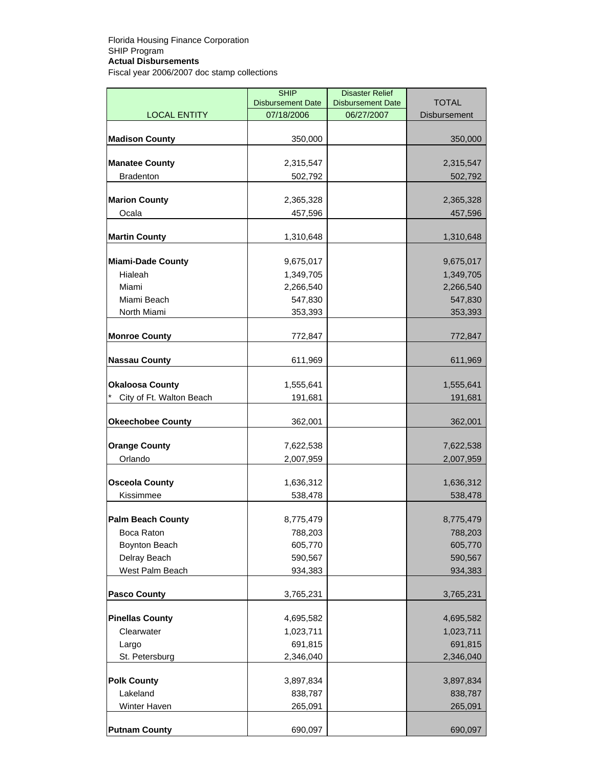|                          | <b>SHIP</b><br><b>Disbursement Date</b> | <b>Disaster Relief</b><br><b>Disbursement Date</b> | <b>TOTAL</b>        |
|--------------------------|-----------------------------------------|----------------------------------------------------|---------------------|
| <b>LOCAL ENTITY</b>      | 07/18/2006                              | 06/27/2007                                         | <b>Disbursement</b> |
| <b>Madison County</b>    | 350,000                                 |                                                    | 350,000             |
|                          |                                         |                                                    |                     |
| <b>Manatee County</b>    | 2,315,547                               |                                                    | 2,315,547           |
| <b>Bradenton</b>         | 502,792                                 |                                                    | 502,792             |
| <b>Marion County</b>     | 2,365,328                               |                                                    | 2,365,328           |
| Ocala                    | 457,596                                 |                                                    | 457,596             |
| <b>Martin County</b>     | 1,310,648                               |                                                    | 1,310,648           |
| <b>Miami-Dade County</b> | 9,675,017                               |                                                    | 9,675,017           |
| Hialeah                  | 1,349,705                               |                                                    | 1,349,705           |
| Miami                    | 2,266,540                               |                                                    | 2,266,540           |
| Miami Beach              | 547,830                                 |                                                    | 547,830             |
| North Miami              | 353,393                                 |                                                    | 353,393             |
| <b>Monroe County</b>     | 772,847                                 |                                                    | 772,847             |
| <b>Nassau County</b>     | 611,969                                 |                                                    | 611,969             |
| <b>Okaloosa County</b>   | 1,555,641                               |                                                    | 1,555,641           |
| City of Ft. Walton Beach | 191,681                                 |                                                    | 191,681             |
|                          |                                         |                                                    |                     |
| <b>Okeechobee County</b> | 362,001                                 |                                                    | 362,001             |
| <b>Orange County</b>     | 7,622,538                               |                                                    | 7,622,538           |
| Orlando                  | 2,007,959                               |                                                    | 2,007,959           |
| <b>Osceola County</b>    | 1,636,312                               |                                                    | 1,636,312           |
| Kissimmee                | 538,478                                 |                                                    | 538,478             |
| <b>Palm Beach County</b> | 8,775,479                               |                                                    | 8,775,479           |
| Boca Raton               | 788,203                                 |                                                    | 788,203             |
| Boynton Beach            | 605,770                                 |                                                    | 605,770             |
| Delray Beach             | 590,567                                 |                                                    | 590,567             |
| West Palm Beach          | 934,383                                 |                                                    | 934,383             |
| <b>Pasco County</b>      | 3,765,231                               |                                                    | 3,765,231           |
| <b>Pinellas County</b>   | 4,695,582                               |                                                    | 4,695,582           |
| Clearwater               | 1,023,711                               |                                                    | 1,023,711           |
| Largo                    | 691,815                                 |                                                    | 691,815             |
| St. Petersburg           | 2,346,040                               |                                                    | 2,346,040           |
| <b>Polk County</b>       | 3,897,834                               |                                                    | 3,897,834           |
| Lakeland                 | 838,787                                 |                                                    | 838,787             |
| Winter Haven             | 265,091                                 |                                                    | 265,091             |
| <b>Putnam County</b>     | 690,097                                 |                                                    | 690,097             |